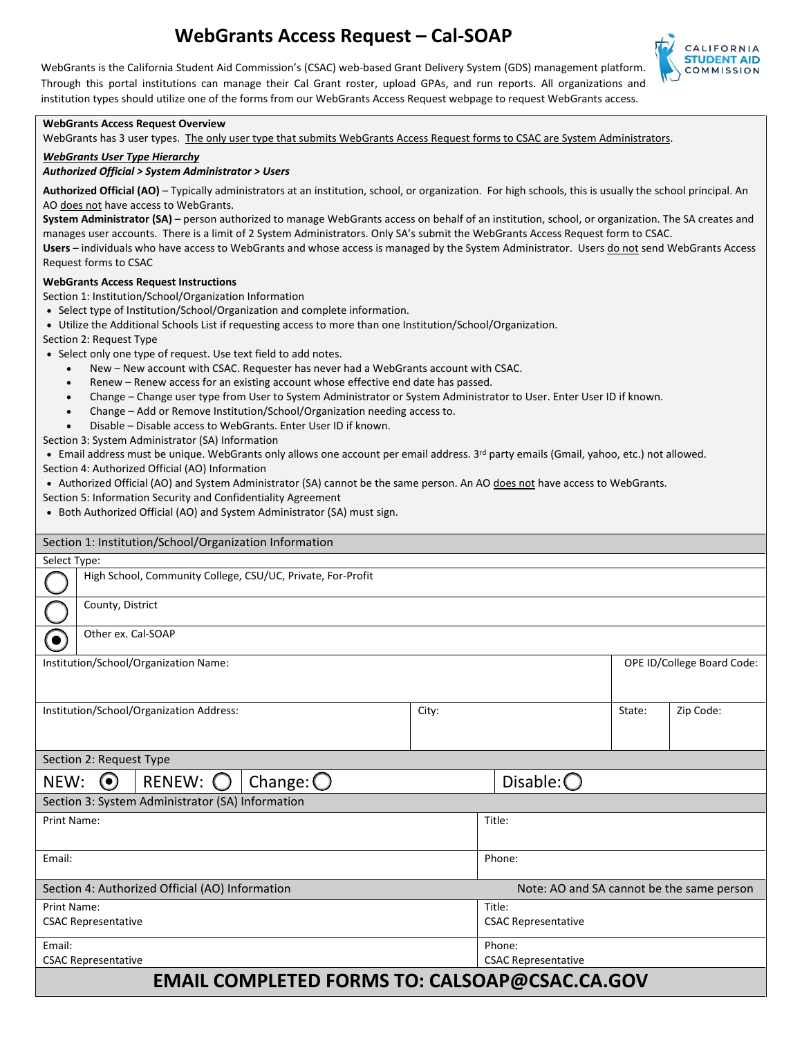# **WebGrants Access Request – Cal-SOAP**

WebGrants is the California Student Aid Commission's (CSAC) web-based Grant Delivery System (GDS) management platform. Through this portal institutions can manage their Cal Grant roster, upload GPAs, and run reports. All organizations and institution types should utilize one of the forms from our WebGrants Access Request webpage to request WebGrants access.



#### **WebGrants Access Request Overview**

WebGrants has 3 user types. The only user type that submits WebGrants Access Request forms to CSAC are System Administrators.

#### *WebGrants User Type Hierarchy*

#### *Authorized Official > System Administrator > Users*

 **Authorized Official (AO)** – Typically administrators at an institution, school, or organization. For high schools, this is usually the school principal. An AO does not have access to WebGrants.

 **System Administrator (SA)** – person authorized to manage WebGrants access on behalf of an institution, school, or organization. The SA creates and Users – individuals who have access to WebGrants and whose access is managed by the System Administrator. Users do not send WebGrants Access manages user accounts. There is a limit of 2 System Administrators. Only SA's submit the WebGrants Access Request form to CSAC. Request forms to CSAC

#### **WebGrants Access Request Instructions**

Section 1: Institution/School/Organization Information

- Select type of Institution/School/Organization and complete information.
- Utilize the Additional Schools List if requesting access to more than one Institution/School/Organization.

Section 2: Request Type

- Select only one type of request. Use text field to add notes.
	- New New account with CSAC. Requester has never had a WebGrants account with CSAC.
	- Renew Renew access for an existing account whose effective end date has passed.
	- Change Change user type from User to System Administrator or System Administrator to User. Enter User ID if known.
	- Change Add or Remove Institution/School/Organization needing access to.
	- Disable Disable access to WebGrants. Enter User ID if known.

Section 3: System Administrator (SA) Information

• Email address must be unique. WebGrants only allows one account per email address. 3<sup>rd</sup> party emails (Gmail, yahoo, etc.) not allowed.

Section 4: Authorized Official (AO) Information

- Authorized Official (AO) and System Administrator (SA) cannot be the same person. An AO does not have access to WebGrants.
- Section 5: Information Security and Confidentiality Agreement
- Both Authorized Official (AO) and System Administrator (SA) must sign.

| Section 1: Institution/School/Organization Information |                                                             |                     |                                           |  |           |  |
|--------------------------------------------------------|-------------------------------------------------------------|---------------------|-------------------------------------------|--|-----------|--|
| Select Type:                                           |                                                             |                     |                                           |  |           |  |
|                                                        | High School, Community College, CSU/UC, Private, For-Profit |                     |                                           |  |           |  |
| County, District                                       |                                                             |                     |                                           |  |           |  |
| Other ex. Cal-SOAP<br>$\bullet$                        |                                                             |                     |                                           |  |           |  |
| Institution/School/Organization Name:                  |                                                             |                     | OPE ID/College Board Code:                |  |           |  |
| Institution/School/Organization Address:               |                                                             | City:               |                                           |  | Zip Code: |  |
| Section 2: Request Type                                |                                                             |                     |                                           |  |           |  |
| RENEW: O<br>$\odot$<br>NEW:                            |                                                             | Disable: $\bigcirc$ |                                           |  |           |  |
| Section 3: System Administrator (SA) Information       |                                                             |                     |                                           |  |           |  |
| <b>Print Name:</b>                                     |                                                             |                     | Title:                                    |  |           |  |
| Email:                                                 |                                                             |                     | Phone:                                    |  |           |  |
| Section 4: Authorized Official (AO) Information        |                                                             |                     | Note: AO and SA cannot be the same person |  |           |  |
| Print Name:                                            |                                                             |                     | Title:                                    |  |           |  |
| <b>CSAC Representative</b>                             |                                                             |                     | <b>CSAC Representative</b>                |  |           |  |
| Email:                                                 |                                                             |                     | Phone:                                    |  |           |  |
| <b>CSAC Representative</b>                             |                                                             |                     | <b>CSAC Representative</b>                |  |           |  |
| <b>EMAIL COMPLETED FORMS TO: CALSOAP@CSAC.CA.GOV</b>   |                                                             |                     |                                           |  |           |  |